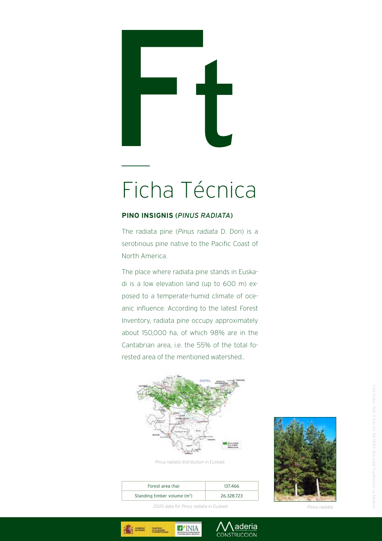## Ficha Técnica

## **PINO INSIGNIS** (*Pinus radiata*)

The radiata pine (*Pinus radiata* D. Don) is a serotinous pine native to the Pacific Coast of North America.

The place where radiata pine stands in Euskadi is a low elevation land (up to 600 m) exposed to a temperate-humid climate of oceanic influence. According to the latest Forest Inventory, radiata pine occupy approximately about 150,000 ha, of which 98% are in the Cantabrian area, i.e. the 55% of the total forested area of the mentioned watershed..



*Pinus radiata distribution in Euskadi*

| Forest area (ha)                         | 137.466    |
|------------------------------------------|------------|
| Standing timber volume (m <sup>3</sup> ) | 26.328.723 |

 $\blacksquare'$ INIA

**MARTIN** 

aderia CONSTRUCCION



 *2005 data for Pinus radiata in Euskadi Pinus radiata*